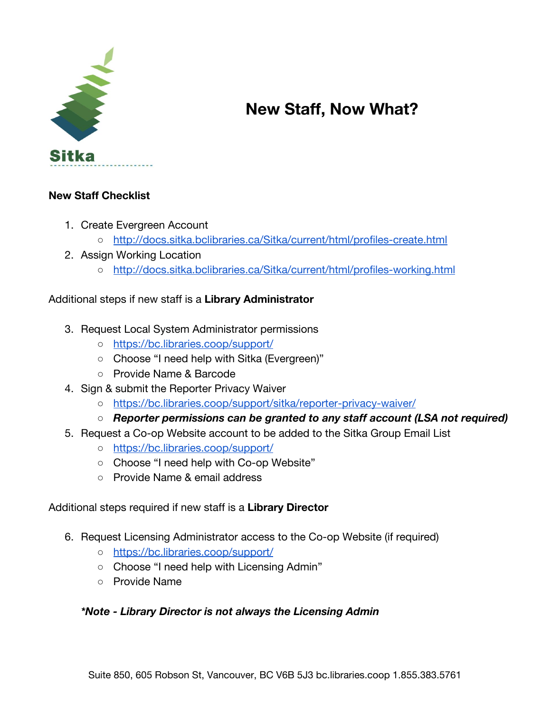

# **New Staff, Now What?**

## **New Staff Checklist**

- 1. Create Evergreen Account
	- <http://docs.sitka.bclibraries.ca/Sitka/current/html/profiles-create.html>
- 2. Assign Working Location
	- <http://docs.sitka.bclibraries.ca/Sitka/current/html/profiles-working.html>

#### Additional steps if new staff is a **Library Administrator**

- 3. Request Local System Administrator permissions
	- <https://bc.libraries.coop/support/>
	- Choose "I need help with Sitka (Evergreen)"
	- Provide Name & Barcode
- 4. Sign & submit the Reporter Privacy Waiver
	- <https://bc.libraries.coop/support/sitka/reporter-privacy-waiver/>
	- *○ Reporter permissions can be granted to any staff account (LSA not required)*
- 5. Request a Co-op Website account to be added to the Sitka Group Email List
	- <https://bc.libraries.coop/support/>
	- Choose "I need help with Co-op Website"
	- Provide Name & email address

#### Additional steps required if new staff is a **Library Director**

- 6. Request Licensing Administrator access to the Co-op Website (if required)
	- <https://bc.libraries.coop/support/>
	- Choose "I need help with Licensing Admin"
	- Provide Name

#### *\*Note - Library Director is not always the Licensing Admin*